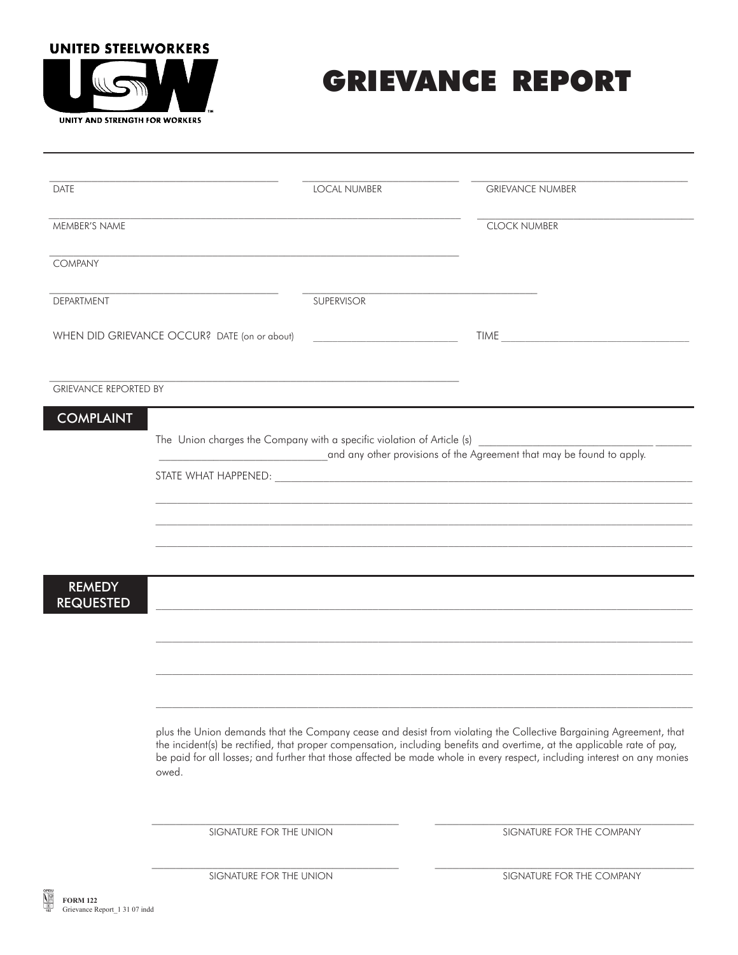## **UNITED STEELWORKERS**



## GRIEVANCE REPORT

| <b>DATE</b>                                                       | <b>LOCAL NUMBER</b>                                                                                                                                                                                                                                                                                                                                                               | <b>GRIEVANCE NUMBER</b>   |  |  |  |
|-------------------------------------------------------------------|-----------------------------------------------------------------------------------------------------------------------------------------------------------------------------------------------------------------------------------------------------------------------------------------------------------------------------------------------------------------------------------|---------------------------|--|--|--|
|                                                                   |                                                                                                                                                                                                                                                                                                                                                                                   |                           |  |  |  |
| MEMBER'S NAME                                                     |                                                                                                                                                                                                                                                                                                                                                                                   | <b>CLOCK NUMBER</b>       |  |  |  |
| <b>COMPANY</b>                                                    |                                                                                                                                                                                                                                                                                                                                                                                   |                           |  |  |  |
| <b>DEPARTMENT</b>                                                 | <b>SUPERVISOR</b>                                                                                                                                                                                                                                                                                                                                                                 |                           |  |  |  |
|                                                                   |                                                                                                                                                                                                                                                                                                                                                                                   |                           |  |  |  |
|                                                                   | WHEN DID GRIEVANCE OCCUR? DATE (on or about)<br><u> 2000 - Jan James Barnett, fransk politik (d. 1878)</u>                                                                                                                                                                                                                                                                        | TIME                      |  |  |  |
| <b>GRIEVANCE REPORTED BY</b>                                      |                                                                                                                                                                                                                                                                                                                                                                                   |                           |  |  |  |
| <b>COMPLAINT</b>                                                  |                                                                                                                                                                                                                                                                                                                                                                                   |                           |  |  |  |
|                                                                   | The Union charges the Company with a specific violation of Article (s)                                                                                                                                                                                                                                                                                                            |                           |  |  |  |
|                                                                   | and any other provisions of the Agreement that may be found to apply.                                                                                                                                                                                                                                                                                                             |                           |  |  |  |
|                                                                   |                                                                                                                                                                                                                                                                                                                                                                                   |                           |  |  |  |
|                                                                   |                                                                                                                                                                                                                                                                                                                                                                                   |                           |  |  |  |
|                                                                   |                                                                                                                                                                                                                                                                                                                                                                                   |                           |  |  |  |
|                                                                   |                                                                                                                                                                                                                                                                                                                                                                                   |                           |  |  |  |
| <b>REMEDY</b><br><b>REQUESTED</b>                                 |                                                                                                                                                                                                                                                                                                                                                                                   |                           |  |  |  |
|                                                                   |                                                                                                                                                                                                                                                                                                                                                                                   |                           |  |  |  |
|                                                                   |                                                                                                                                                                                                                                                                                                                                                                                   |                           |  |  |  |
|                                                                   |                                                                                                                                                                                                                                                                                                                                                                                   |                           |  |  |  |
|                                                                   |                                                                                                                                                                                                                                                                                                                                                                                   |                           |  |  |  |
|                                                                   | plus the Union demands that the Company cease and desist from violating the Collective Bargaining Agreement, that<br>the incident(s) be rectified, that proper compensation, including benefits and overtime, at the applicable rate of pay,<br>be paid for all losses; and further that those affected be made whole in every respect, including interest on any monies<br>owed. |                           |  |  |  |
|                                                                   |                                                                                                                                                                                                                                                                                                                                                                                   |                           |  |  |  |
|                                                                   | SIGNATURE FOR THE UNION                                                                                                                                                                                                                                                                                                                                                           | SIGNATURE FOR THE COMPANY |  |  |  |
|                                                                   | SIGNATURE FOR THE UNION                                                                                                                                                                                                                                                                                                                                                           | SIGNATURE FOR THE COMPANY |  |  |  |
| $\frac{1}{2}$<br><b>FORM 122</b><br>Grievance Report_1 31 07 indd |                                                                                                                                                                                                                                                                                                                                                                                   |                           |  |  |  |